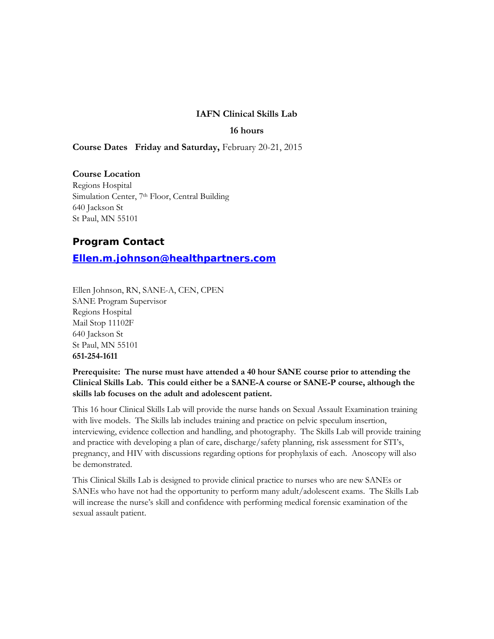### **IAFN Clinical Skills Lab**

#### **16 hours**

**Course Dates Friday and Saturday,** February 20-21, 2015

#### **Course Location**

Regions Hospital Simulation Center, 7<sup>th</sup> Floor, Central Building 640 Jackson St St Paul, MN 55101

## **Program Contact**

**[Ellen.m.johnson@healthpartners.com](mailto:Ellen.m.johnson@healthpartners.com)**

Ellen Johnson, RN, SANE-A, CEN, CPEN SANE Program Supervisor Regions Hospital Mail Stop 11102F 640 Jackson St St Paul, MN 55101 **651-254-1611**

## **Prerequisite: The nurse must have attended a 40 hour SANE course prior to attending the Clinical Skills Lab. This could either be a SANE-A course or SANE-P course, although the skills lab focuses on the adult and adolescent patient.**

This 16 hour Clinical Skills Lab will provide the nurse hands on Sexual Assault Examination training with live models. The Skills lab includes training and practice on pelvic speculum insertion, interviewing, evidence collection and handling, and photography. The Skills Lab will provide training and practice with developing a plan of care, discharge/safety planning, risk assessment for STI's, pregnancy, and HIV with discussions regarding options for prophylaxis of each. Anoscopy will also be demonstrated.

This Clinical Skills Lab is designed to provide clinical practice to nurses who are new SANEs or SANEs who have not had the opportunity to perform many adult/adolescent exams. The Skills Lab will increase the nurse's skill and confidence with performing medical forensic examination of the sexual assault patient.